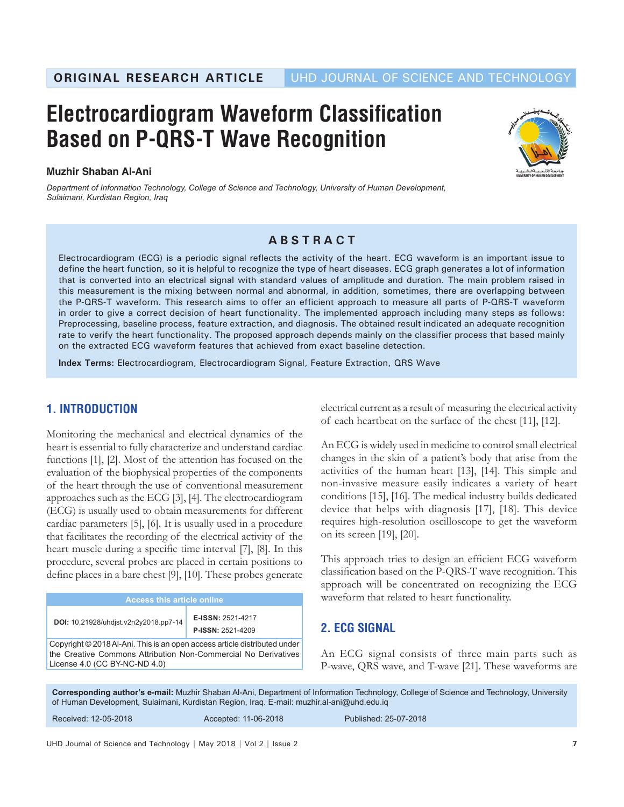# **Electrocardiogram Waveform Classification Based on P-QRS-T Wave Recognition**

#### **Muzhir Shaban Al-Ani**

*Department of Information Technology, College of Science and Technology, University of Human Development, Sulaimani, Kurdistan Region, Iraq*



## **ABSTRACT**

Electrocardiogram (ECG) is a periodic signal reflects the activity of the heart. ECG waveform is an important issue to define the heart function, so it is helpful to recognize the type of heart diseases. ECG graph generates a lot of information that is converted into an electrical signal with standard values of amplitude and duration. The main problem raised in this measurement is the mixing between normal and abnormal, in addition, sometimes, there are overlapping between the P-QRS-T waveform. This research aims to offer an efficient approach to measure all parts of P-QRS-T waveform in order to give a correct decision of heart functionality. The implemented approach including many steps as follows: Preprocessing, baseline process, feature extraction, and diagnosis. The obtained result indicated an adequate recognition rate to verify the heart functionality. The proposed approach depends mainly on the classifier process that based mainly on the extracted ECG waveform features that achieved from exact baseline detection.

**Index Terms:** Electrocardiogram, Electrocardiogram Signal, Feature Extraction, QRS Wave

# **1. INTRODUCTION**

Monitoring the mechanical and electrical dynamics of the heart is essential to fully characterize and understand cardiac functions [1], [2]. Most of the attention has focused on the evaluation of the biophysical properties of the components of the heart through the use of conventional measurement approaches such as the ECG [3], [4]. The electrocardiogram (ECG) is usually used to obtain measurements for different cardiac parameters [5], [6]. It is usually used in a procedure that facilitates the recording of the electrical activity of the heart muscle during a specific time interval [7], [8]. In this procedure, several probes are placed in certain positions to define places in a bare chest [9], [10]. These probes generate

| <b>Access this article online</b>                                                                                                                                            |                                               |  |
|------------------------------------------------------------------------------------------------------------------------------------------------------------------------------|-----------------------------------------------|--|
| DOI: 10.21928/uhdist.v2n2y2018.pp7-14                                                                                                                                        | E-ISSN: 2521-4217<br><b>P-ISSN: 2521-4209</b> |  |
| Copyright © 2018 Al-Ani. This is an open access article distributed under<br>the Creative Commons Attribution Non-Commercial No Derivatives<br>License 4.0 (CC BY-NC-ND 4.0) |                                               |  |

electrical current as a result of measuring the electrical activity of each heartbeat on the surface of the chest [11], [12].

An ECG is widely used in medicine to control small electrical changes in the skin of a patient's body that arise from the activities of the human heart [13], [14]. This simple and non-invasive measure easily indicates a variety of heart conditions [15], [16]. The medical industry builds dedicated device that helps with diagnosis [17], [18]. This device requires high-resolution oscilloscope to get the waveform on its screen [19], [20].

This approach tries to design an efficient ECG waveform classification based on the P-QRS-T wave recognition. This approach will be concentrated on recognizing the ECG waveform that related to heart functionality.

## **2. ECG SIGNAL**

An ECG signal consists of three main parts such as P-wave, QRS wave, and T-wave [21]. These waveforms are

**Corresponding author's e-mail:** Muzhir Shaban Al-Ani, Department of Information Technology, College of Science and Technology, University of Human Development, Sulaimani, Kurdistan Region, Iraq. E-mail: muzhir.al-ani@uhd.edu.iq Received: 12-05-2018 Accepted: 11-06-2018 Published: 25-07-2018

UHD Journal of Science and Technology | May 2018 | Vol 2 | Issue 2 **7**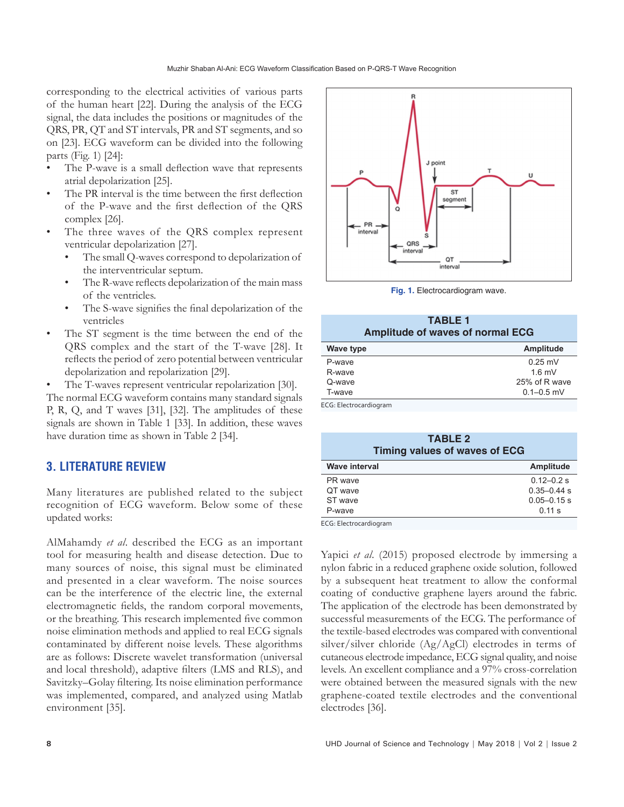corresponding to the electrical activities of various parts of the human heart [22]. During the analysis of the ECG signal, the data includes the positions or magnitudes of the QRS, PR, QT and ST intervals, PR and ST segments, and so on [23]. ECG waveform can be divided into the following parts (Fig. 1) [24]:

- The P-wave is a small deflection wave that represents atrial depolarization [25].
- The PR interval is the time between the first deflection of the P-wave and the first deflection of the QRS complex [26].
- The three waves of the QRS complex represent ventricular depolarization [27].
	- The small Q-waves correspond to depolarization of the interventricular septum.
	- The R-wave reflects depolarization of the main mass of the ventricles.
	- The S-wave signifies the final depolarization of the ventricles
- The ST segment is the time between the end of the QRS complex and the start of the T-wave [28]. It reflects the period of zero potential between ventricular depolarization and repolarization [29].

The T-waves represent ventricular repolarization [30]. The normal ECG waveform contains many standard signals P, R, Q, and T waves [31], [32]. The amplitudes of these signals are shown in Table 1 [33]. In addition, these waves have duration time as shown in Table 2 [34].

# **3. LITERATURE REVIEW**

Many literatures are published related to the subject recognition of ECG waveform. Below some of these updated works:

AlMahamdy *et al*. described the ECG as an important tool for measuring health and disease detection. Due to many sources of noise, this signal must be eliminated and presented in a clear waveform. The noise sources can be the interference of the electric line, the external electromagnetic fields, the random corporal movements, or the breathing. This research implemented five common noise elimination methods and applied to real ECG signals contaminated by different noise levels. These algorithms are as follows: Discrete wavelet transformation (universal and local threshold), adaptive filters (LMS and RLS), and Savitzky–Golay filtering. Its noise elimination performance was implemented, compared, and analyzed using Matlab environment [35].



**Fig. 1.** Electrocardiogram wave.

**TABLE 1**

| 1751-LE<br><b>Amplitude of waves of normal ECG</b> |                 |  |
|----------------------------------------------------|-----------------|--|
| Wave type                                          | Amplitude       |  |
| P-wave                                             | $0.25$ mV       |  |
| R-wave                                             | $16 \text{ mV}$ |  |
| Q-wave                                             | 25% of R wave   |  |
| T-wave                                             | $0.1 - 0.5$ mV  |  |

ECG: Electrocardiogram

| <b>TABLE 2</b> |                                      |  |
|----------------|--------------------------------------|--|
|                | <b>Timing values of waves of ECG</b> |  |
|                |                                      |  |

| Wave interval | Amplitude       |
|---------------|-----------------|
| PR wave       | $0.12 - 0.2$ s  |
| OT wave       | $0.35 - 0.44$ s |
| ST wave       | $0.05 - 0.15$ s |
| P-wave        | $0.11$ s        |
|               |                 |

ECG: Electrocardiogram

Yapici *et al*. (2015) proposed electrode by immersing a nylon fabric in a reduced graphene oxide solution, followed by a subsequent heat treatment to allow the conformal coating of conductive graphene layers around the fabric. The application of the electrode has been demonstrated by successful measurements of the ECG. The performance of the textile-based electrodes was compared with conventional silver/silver chloride (Ag/AgCl) electrodes in terms of cutaneous electrode impedance, ECG signal quality, and noise levels. An excellent compliance and a 97% cross-correlation were obtained between the measured signals with the new graphene-coated textile electrodes and the conventional electrodes [36].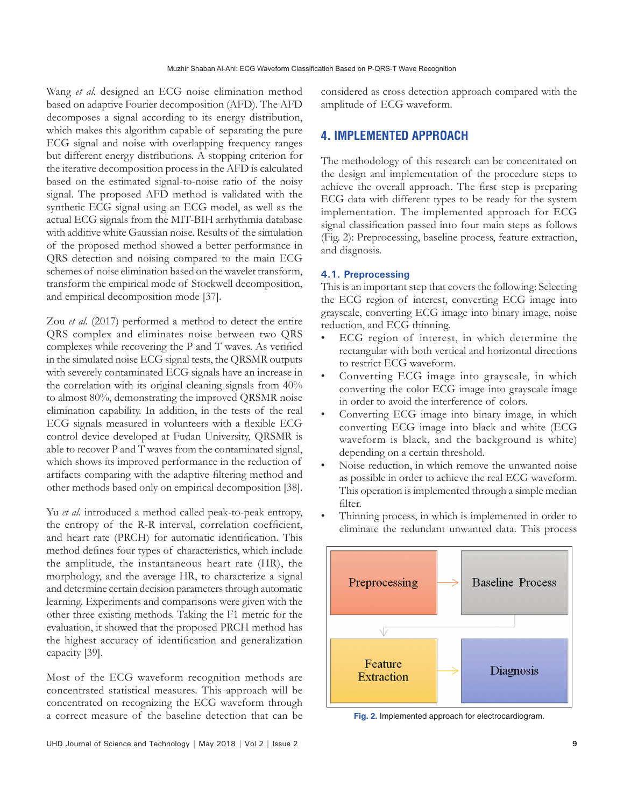Wang *et al*. designed an ECG noise elimination method based on adaptive Fourier decomposition (AFD). The AFD decomposes a signal according to its energy distribution, which makes this algorithm capable of separating the pure ECG signal and noise with overlapping frequency ranges but different energy distributions. A stopping criterion for the iterative decomposition process in the AFD is calculated based on the estimated signal-to-noise ratio of the noisy signal. The proposed AFD method is validated with the synthetic ECG signal using an ECG model, as well as the actual ECG signals from the MIT-BIH arrhythmia database with additive white Gaussian noise. Results of the simulation of the proposed method showed a better performance in QRS detection and noising compared to the main ECG schemes of noise elimination based on the wavelet transform, transform the empirical mode of Stockwell decomposition, and empirical decomposition mode [37].

Zou *et al.* (2017) performed a method to detect the entire QRS complex and eliminates noise between two QRS complexes while recovering the P and T waves. As verified in the simulated noise ECG signal tests, the QRSMR outputs with severely contaminated ECG signals have an increase in the correlation with its original cleaning signals from 40% to almost 80%, demonstrating the improved QRSMR noise elimination capability. In addition, in the tests of the real ECG signals measured in volunteers with a flexible ECG control device developed at Fudan University, QRSMR is able to recover P and T waves from the contaminated signal, which shows its improved performance in the reduction of artifacts comparing with the adaptive filtering method and other methods based only on empirical decomposition [38].

Yu *et al.* introduced a method called peak-to-peak entropy, the entropy of the R-R interval, correlation coefficient, and heart rate (PRCH) for automatic identification. This method defines four types of characteristics, which include the amplitude, the instantaneous heart rate (HR), the morphology, and the average HR, to characterize a signal and determine certain decision parameters through automatic learning. Experiments and comparisons were given with the other three existing methods. Taking the F1 metric for the evaluation, it showed that the proposed PRCH method has the highest accuracy of identification and generalization capacity [39].

Most of the ECG waveform recognition methods are concentrated statistical measures. This approach will be concentrated on recognizing the ECG waveform through a correct measure of the baseline detection that can be

UHD Journal of Science and Technology | May 2018 | Vol 2 | Issue 2 **9**

considered as cross detection approach compared with the amplitude of ECG waveform.

## **4. IMPLEMENTED APPROACH**

The methodology of this research can be concentrated on the design and implementation of the procedure steps to achieve the overall approach. The first step is preparing ECG data with different types to be ready for the system implementation. The implemented approach for ECG signal classification passed into four main steps as follows (Fig. 2): Preprocessing, baseline process, feature extraction, and diagnosis.

#### **4.1. Preprocessing**

This is an important step that covers the following: Selecting the ECG region of interest, converting ECG image into grayscale, converting ECG image into binary image, noise reduction, and ECG thinning.

- ECG region of interest, in which determine the rectangular with both vertical and horizontal directions to restrict ECG waveform.
- Converting ECG image into grayscale, in which converting the color ECG image into grayscale image in order to avoid the interference of colors.
- Converting ECG image into binary image, in which converting ECG image into black and white (ECG waveform is black, and the background is white) depending on a certain threshold.
- Noise reduction, in which remove the unwanted noise as possible in order to achieve the real ECG waveform. This operation is implemented through a simple median filter.
- Thinning process, in which is implemented in order to eliminate the redundant unwanted data. This process



**Fig. 2.** Implemented approach for electrocardiogram.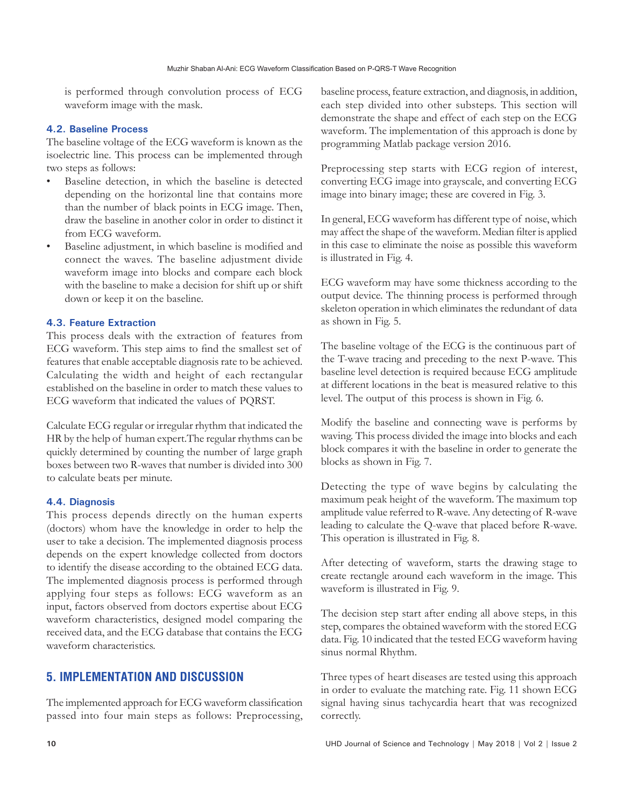is performed through convolution process of ECG waveform image with the mask.

#### **4.2. Baseline Process**

The baseline voltage of the ECG waveform is known as the isoelectric line. This process can be implemented through two steps as follows:

- Baseline detection, in which the baseline is detected depending on the horizontal line that contains more than the number of black points in ECG image. Then, draw the baseline in another color in order to distinct it from ECG waveform.
- Baseline adjustment, in which baseline is modified and connect the waves. The baseline adjustment divide waveform image into blocks and compare each block with the baseline to make a decision for shift up or shift down or keep it on the baseline.

#### **4.3. Feature Extraction**

This process deals with the extraction of features from ECG waveform. This step aims to find the smallest set of features that enable acceptable diagnosis rate to be achieved. Calculating the width and height of each rectangular established on the baseline in order to match these values to ECG waveform that indicated the values of PQRST.

Calculate ECG regular or irregular rhythm that indicated the HR by the help of human expert.The regular rhythms can be quickly determined by counting the number of large graph boxes between two R-waves that number is divided into 300 to calculate beats per minute.

#### **4.4. Diagnosis**

This process depends directly on the human experts (doctors) whom have the knowledge in order to help the user to take a decision. The implemented diagnosis process depends on the expert knowledge collected from doctors to identify the disease according to the obtained ECG data. The implemented diagnosis process is performed through applying four steps as follows: ECG waveform as an input, factors observed from doctors expertise about ECG waveform characteristics, designed model comparing the received data, and the ECG database that contains the ECG waveform characteristics.

## **5. IMPLEMENTATION AND DISCUSSION**

The implemented approach for ECG waveform classification passed into four main steps as follows: Preprocessing, baseline process, feature extraction, and diagnosis, in addition, each step divided into other substeps. This section will demonstrate the shape and effect of each step on the ECG waveform. The implementation of this approach is done by programming Matlab package version 2016.

Preprocessing step starts with ECG region of interest, converting ECG image into grayscale, and converting ECG image into binary image; these are covered in Fig. 3.

In general, ECG waveform has different type of noise, which may affect the shape of the waveform. Median filter is applied in this case to eliminate the noise as possible this waveform is illustrated in Fig. 4.

ECG waveform may have some thickness according to the output device. The thinning process is performed through skeleton operation in which eliminates the redundant of data as shown in Fig. 5.

The baseline voltage of the ECG is the continuous part of the T-wave tracing and preceding to the next P-wave. This baseline level detection is required because ECG amplitude at different locations in the beat is measured relative to this level. The output of this process is shown in Fig. 6.

Modify the baseline and connecting wave is performs by waving. This process divided the image into blocks and each block compares it with the baseline in order to generate the blocks as shown in Fig. 7.

Detecting the type of wave begins by calculating the maximum peak height of the waveform. The maximum top amplitude value referred to R-wave. Any detecting of R-wave leading to calculate the Q-wave that placed before R-wave. This operation is illustrated in Fig. 8.

After detecting of waveform, starts the drawing stage to create rectangle around each waveform in the image. This waveform is illustrated in Fig. 9.

The decision step start after ending all above steps, in this step, compares the obtained waveform with the stored ECG data. Fig. 10 indicated that the tested ECG waveform having sinus normal Rhythm.

Three types of heart diseases are tested using this approach in order to evaluate the matching rate. Fig. 11 shown ECG signal having sinus tachycardia heart that was recognized correctly.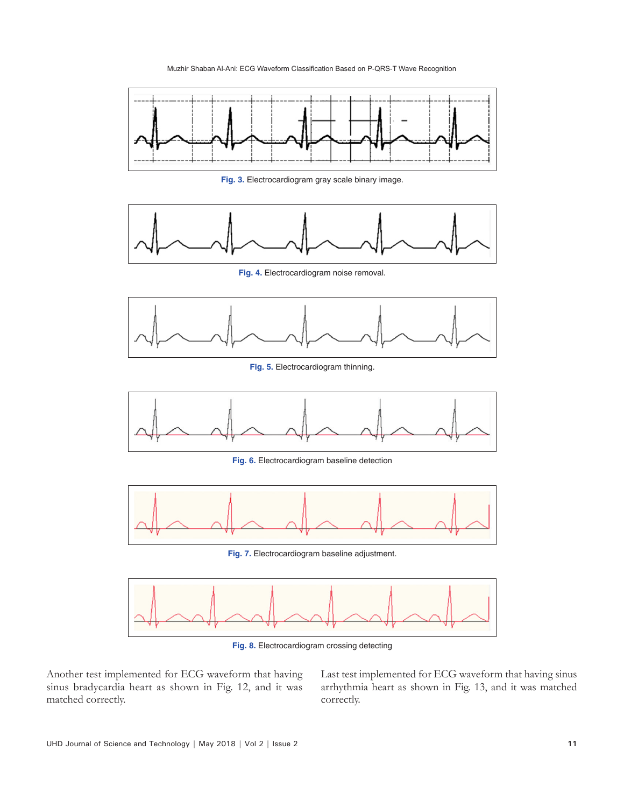

**Fig. 3.** Electrocardiogram gray scale binary image.



**Fig. 4.** Electrocardiogram noise removal.



**Fig. 5.** Electrocardiogram thinning.



**Fig. 6.** Electrocardiogram baseline detection



**Fig. 7.** Electrocardiogram baseline adjustment.



**Fig. 8.** Electrocardiogram crossing detecting

Another test implemented for ECG waveform that having sinus bradycardia heart as shown in Fig. 12, and it was matched correctly.

Last test implemented for ECG waveform that having sinus arrhythmia heart as shown in Fig. 13, and it was matched correctly.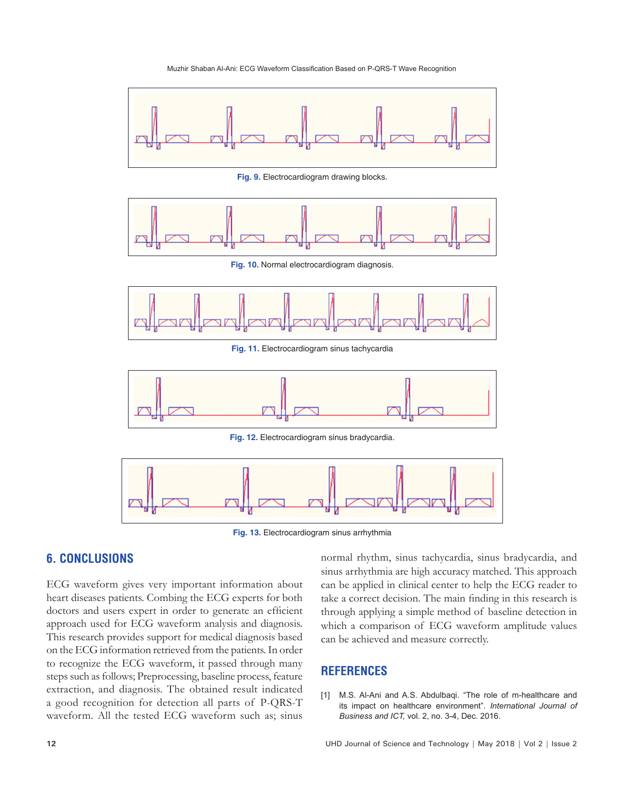

**Fig. 9.** Electrocardiogram drawing blocks.



**Fig. 10.** Normal electrocardiogram diagnosis.



**Fig. 11.** Electrocardiogram sinus tachycardia



**Fig. 12.** Electrocardiogram sinus bradycardia.



**Fig. 13.** Electrocardiogram sinus arrhythmia

# **6. CONCLUSIONS**

ECG waveform gives very important information about heart diseases patients. Combing the ECG experts for both doctors and users expert in order to generate an efficient approach used for ECG waveform analysis and diagnosis. This research provides support for medical diagnosis based on the ECG information retrieved from the patients. In order to recognize the ECG waveform, it passed through many steps such as follows; Preprocessing, baseline process, feature extraction, and diagnosis. The obtained result indicated a good recognition for detection all parts of P-QRS-T waveform. All the tested ECG waveform such as; sinus

normal rhythm, sinus tachycardia, sinus bradycardia, and sinus arrhythmia are high accuracy matched. This approach can be applied in clinical center to help the ECG reader to take a correct decision. The main finding in this research is through applying a simple method of baseline detection in which a comparison of ECG waveform amplitude values can be achieved and measure correctly.

## **REFERENCES**

[1] M.S. Al-Ani and A.S. Abdulbaqi. "The role of m-healthcare and its impact on healthcare environment". *International Journal of Business and ICT,* vol. 2, no. 3-4, Dec. 2016.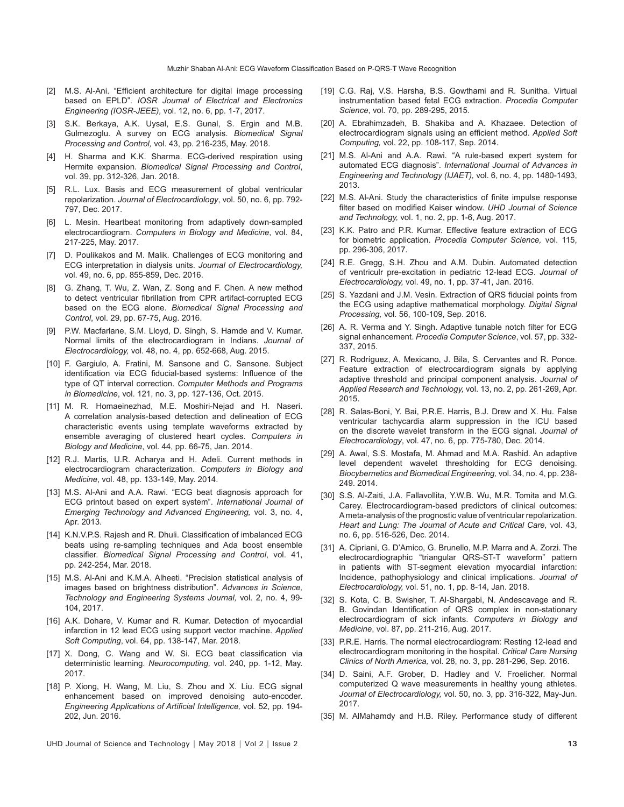- [2] M.S. Al-Ani. "Efficient architecture for digital image processing based on EPLD". *IOSR Journal of Electrical and Electronics Engineering (IOSR-JEEE),* vol. 12, no. 6, pp. 1-7, 2017.
- [3] S.K. Berkaya, A.K. Uysal, E.S. Gunal, S. Ergin and M.B. Gulmezoglu. A survey on ECG analysis. *Biomedical Signal Processing and Control,* vol. 43, pp. 216-235, May. 2018.
- [4] H. Sharma and K.K. Sharma. ECG-derived respiration using Hermite expansion. *Biomedical Signal Processing and Control*, vol. 39, pp. 312-326, Jan. 2018.
- [5] R.L. Lux. Basis and ECG measurement of global ventricular repolarization. *Journal of Electrocardiology*, vol. 50, no. 6, pp. 792- 797, Dec. 2017.
- [6] L. Mesin. Heartbeat monitoring from adaptively down-sampled electrocardiogram. *Computers in Biology and Medicine*, vol. 84, 217-225, May. 2017.
- [7] D. Poulikakos and M. Malik. Challenges of ECG monitoring and ECG interpretation in dialysis units. *Journal of Electrocardiology,* vol. 49, no. 6, pp. 855-859, Dec. 2016.
- [8] G. Zhang, T. Wu, Z. Wan, Z. Song and F. Chen. A new method to detect ventricular fibrillation from CPR artifact-corrupted ECG based on the ECG alone. *Biomedical Signal Processing and Control*, vol. 29, pp. 67-75, Aug. 2016.
- [9] P.W. Macfarlane, S.M. Lloyd, D. Singh, S. Hamde and V. Kumar. Normal limits of the electrocardiogram in Indians. *Journal of Electrocardiology,* vol. 48, no. 4, pp. 652-668, Aug. 2015.
- [10] F. Gargiulo, A. Fratini, M. Sansone and C. Sansone. Subject identification via ECG fiducial-based systems: Influence of the type of QT interval correction. *Computer Methods and Programs in Biomedicine*, vol. 121, no. 3, pp. 127-136, Oct. 2015.
- [11] M. R. Homaeinezhad, M.E. Moshiri-Nejad and H. Naseri. A correlation analysis-based detection and delineation of ECG characteristic events using template waveforms extracted by ensemble averaging of clustered heart cycles. *Computers in Biology and Medicine*, vol. 44, pp. 66-75, Jan. 2014.
- [12] R.J. Martis, U.R. Acharya and H. Adeli. Current methods in electrocardiogram characterization. *Computers in Biology and Medicine*, vol. 48, pp. 133-149, May. 2014.
- [13] M.S. Al-Ani and A.A. Rawi. "ECG beat diagnosis approach for ECG printout based on expert system". *International Journal of Emerging Technology and Advanced Engineering,* vol. 3, no. 4, Apr. 2013.
- [14] K.N.V.P.S. Rajesh and R. Dhuli. Classification of imbalanced ECG beats using re-sampling techniques and Ada boost ensemble classifier. *Biomedical Signal Processing and Control*, vol. 41, pp. 242-254, Mar. 2018.
- [15] M.S. Al-Ani and K.M.A. Alheeti. "Precision statistical analysis of images based on brightness distribution". *Advances in Science, Technology and Engineering Systems Journal,* vol. 2, no. 4, 99- 104, 2017.
- [16] A.K. Dohare, V. Kumar and R. Kumar. Detection of myocardial infarction in 12 lead ECG using support vector machine. *Applied Soft Computing*, vol. 64, pp. 138-147, Mar. 2018.
- [17] X. Dong, C. Wang and W. Si. ECG beat classification via deterministic learning. *Neurocomputing,* vol. 240, pp. 1-12, May. 2017.
- [18] P. Xiong, H. Wang, M. Liu, S. Zhou and X. Liu. ECG signal enhancement based on improved denoising auto-encoder. *Engineering Applications of Artificial Intelligence,* vol. 52, pp. 194- 202, Jun. 2016.
- [19] C.G. Raj, V.S. Harsha, B.S. Gowthami and R. Sunitha. Virtual instrumentation based fetal ECG extraction. *Procedia Computer Science*, vol. 70, pp. 289-295, 2015.
- [20] A. Ebrahimzadeh, B. Shakiba and A. Khazaee. Detection of electrocardiogram signals using an efficient method. *Applied Soft Computing,* vol. 22, pp. 108-117, Sep. 2014.
- [21] M.S. Al-Ani and A.A. Rawi. "A rule-based expert system for automated ECG diagnosis". *International Journal of Advances in Engineering and Technology (IJAET),* vol. 6, no. 4, pp. 1480-1493, 2013.
- [22] M.S. Al-Ani. Study the characteristics of finite impulse response filter based on modified Kaiser window. *UHD Journal of Science and Technology,* vol. 1, no. 2, pp. 1-6, Aug. 2017.
- [23] K.K. Patro and P.R. Kumar. Effective feature extraction of ECG for biometric application. *Procedia Computer Science,* vol. 115, pp. 296-306, 2017.
- [24] R.E. Gregg, S.H. Zhou and A.M. Dubin. Automated detection of ventriculr pre-excitation in pediatric 12-lead ECG. *Journal of Electrocardiology,* vol. 49, no. 1, pp. 37-41, Jan. 2016.
- [25] S. Yazdani and J.M. Vesin. Extraction of QRS fiducial points from the ECG using adaptive mathematical morphology. *Digital Signal Processing,* vol. 56, 100-109, Sep. 2016.
- [26] A. R. Verma and Y. Singh. Adaptive tunable notch filter for ECG signal enhancement. *Procedia Computer Science*, vol. 57, pp. 332- 337, 2015.
- [27] R. Rodríguez, A. Mexicano, J. Bila, S. Cervantes and R. Ponce. Feature extraction of electrocardiogram signals by applying adaptive threshold and principal component analysis. *Journal of Applied Research and Technology,* vol. 13, no. 2, pp. 261-269, Apr. 2015.
- [28] R. Salas-Boni, Y. Bai, P.R.E. Harris, B.J. Drew and X. Hu. False ventricular tachycardia alarm suppression in the ICU based on the discrete wavelet transform in the ECG signal. *Journal of Electrocardiology*, vol. 47, no. 6, pp. 775-780, Dec. 2014.
- [29] A. Awal, S.S. Mostafa, M. Ahmad and M.A. Rashid. An adaptive level dependent wavelet thresholding for ECG denoising. *Biocybernetics and Biomedical Engineering,* vol. 34, no. 4, pp. 238- 249. 2014.
- [30] S.S. Al-Zaiti, J.A. Fallavollita, Y.W.B. Wu, M.R. Tomita and M.G. Carey. Electrocardiogram-based predictors of clinical outcomes: Ameta-analysis of the prognostic value of ventricular repolarization. *Heart and Lung: The Journal of Acute and Critical Care,* vol. 43, no. 6, pp. 516-526, Dec. 2014.
- [31] A. Cipriani, G. D'Amico, G. Brunello, M.P. Marra and A. Zorzi. The electrocardiographic "triangular QRS-ST-T waveform" pattern in patients with ST-segment elevation myocardial infarction: Incidence, pathophysiology and clinical implications. *Journal of Electrocardiology,* vol. 51, no. 1, pp. 8-14, Jan. 2018.
- [32] S. Kota, C. B. Swisher, T. Al-Shargabi, N. Andescavage and R. B. Govindan Identification of QRS complex in non-stationary electrocardiogram of sick infants. *Computers in Biology and Medicine*, vol. 87, pp. 211-216, Aug. 2017.
- [33] P.R.E. Harris. The normal electrocardiogram: Resting 12-lead and electrocardiogram monitoring in the hospital. *Critical Care Nursing Clinics of North America,* vol. 28, no. 3, pp. 281-296, Sep. 2016.
- [34] D. Saini, A.F. Grober, D. Hadley and V. Froelicher. Normal computerized Q wave measurements in healthy young athletes. *Journal of Electrocardiology,* vol. 50, no. 3, pp. 316-322, May-Jun. 2017.
- [35] M. AlMahamdy and H.B. Riley. Performance study of different

UHD Journal of Science and Technology | May 2018 | Vol 2 | Issue 2 **13**